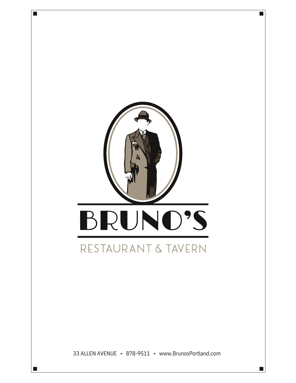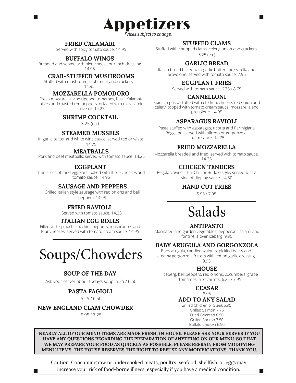*Prices subject to change.*

Appetizers

#### **FRIED CALAMARI**

 $\overline{\phantom{a}}$ 

Served with spicy tomato sauce. 14.95

#### **BUFFALO WINGS**

Breaded and served with bleu cheese or ranch dressing 14.95

#### **CRAB-STUFFED MUSHROOMS**

Stuffed with mushroom, crab meat and crackers. 14.95

#### **MOZZARELLA POMODORO**

Fresh mozzarella, vine ripened tomatoes, basil, Kalamata olives and roasted red peppers, drizzled with extra virgin olive oil. 14.25

#### **SHRIMP COCKTAIL**

3.25 (ea.)

#### **STEAMED MUSSELS**

In garlic butter and white wine sauce; served red or white. 14.75

#### **MEATBALLS**

Pork and beef meatballs; served with tomato sauce. 14.25

#### **EGGPLANT**

Thin slices of fried eggplant, baked with three cheeses and tomato sauce. 14.95

#### **SAUSAGE AND PEPPERS**

Grilled Italian style sausage with red onions and bell peppers. 14.95

#### **FRIED RAVIOLI**

Served with tomato sauce. 14.25

#### **ITALIAN EGG ROLLS**

Filled with spinach, zucchini, peppers, mushrooms and four cheeses; served with tomato cream sauce. 14.95

# Soups/Chowders

#### **SOUP OF THE DAY**

Ask your server about today's soup. 5.25 / 6.50

5.25 / 6.50 **PASTA FAGIOLI**

**NEW ENGLAND CLAM CHOWDER**

5.95 / 7.25

#### **STUFFED CLAMS**

Stuffed with chopped clams, celery, onion and crackers. 5.25 (ea.)

#### **GARLIC BREAD**

Italian bread baked with garlic butter, mozzarella and provolone; served with tomato sauce. 7.95

#### **EGGPLANT FRIES**

Served with tomato sauce. 6.75 / 8.75

#### **CANNELLONI**

Spinach pasta stuffed with chicken, cheese, red onion and celery; topped with tomato cream sauce, mozzarella and provolone. 14.95

#### **ASPARAGUS RAVIOLI**

Pasta stuffed with asparagus, ricotta and Parmigiana Reggiano; served with alfredo or gorgonzola cream sauce. 14.75

#### **FRIED MOZZARELLA**

Mozzarella breaded and fried; served with tomato sauce. 14.25

#### **CHICKEN TENDERS**

Regular, Sweet Thai Chili or Buffalo style; served with a side of dipping sauce. 14.50

#### **HAND CUT FRIES**

5.95 / 7.95

# Salads

#### **ANTIPASTO**

Marinated and garden vegetables, pepperoni, salami and fontinella over iceberg. 9.95

#### **BABY ARUGULA AND GORGONZOLA**

Baby arugula, candied walnuts, pickled beets and creamy gorgonzola fritters with lemon garlic dressing. 9.95

#### **HOUSE**

Iceberg, bell peppers, red onions, cucumbers, grape tomatoes, and carrots. 6.25 / 7.95

> **CEASAR** 8.95

#### **ADD TO ANY SALAD**

Grilled Chicken or Steak 5.95 Grilled Salmon 7.75 Fried Calamari 6.50 Grilled Shrimp 7.50 Buffalo Chicken 6.50

H

**NEARLY ALL OF OUR MENU ITEMS ARE MADE FRESH, IN HOUSE. PLEASE ASK YOUR SERVER IF YOU HAVE ANY QUESTIONS REGARDING THE PREPARATION OF ANYTHING ON OUR MENU. SO THAT WE MAY PREPARE YOUR FOOD AS QUICKLY AS POSSIBLE, PLEASE REFRAIN FROM MODIFYING MENU ITEMS. THE HOUSE RESERVES THE RIGHT TO REFUSE ANY MODIFICATIONS. THANK YOU.**

Caution: Consuming raw or undercooked meats, poultry, seafood, shellfish, or eggs may increase your risk of food-borne illness, especially if you have a medical condition.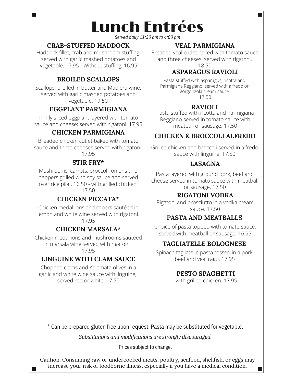Lunch Entrées

*Served daily 11:30 am to 4:00 pm*

## **CRAB-STUFFED HADDOCK**

**The State** 

Haddock fillet, crab and mushroom stuffing; served with garlic mashed potatoes and vegetable. 17.95 - Without stuffing, 16.95

## **BROILED SCALLOPS**

Scallops, broiled in butter and Madiera wine; served with garlic mashed potatoes and vegetable. 19.50

## **EGGPLANT PARMIGIANA**

Thinly sliced eggplant layered with tomato sauce and cheese; served with rigatoni. 17.95

## **CHICKEN PARMIGIANA**

Breaded chicken cutlet baked with tomato sauce and three cheeses served with rigatoni. 17.95

## **STIR FRY\***

Mushrooms, carrots, broccoli, onions and peppers grilled with soy sauce and served over rice pilaf. 16.50 - with grilled chicken,

17.50

## **CHICKEN PICCATA\***

Chicken medallions and capers sautéed in lemon and white wine served with rigatoni. 17.95

## **CHICKEN MARSALA\***

Chicken medallions and mushrooms sautéed in marsala wine served with rigatoni.

17.95

## **LINGUINE WITH CLAM SAUCE**

Chopped clams and Kalamata olives in a garlic and white wine sauce with linguine; served red or white. 17.50

## **VEAL PARMIGIANA**

Breaded veal cutlet baked with tomato sauce and three cheeses; served with rigatoni.

#### 18.50 **ASPARAGUS RAVIOLI**

Pasta stuffed with asparagus, ricotta and Parmigiana Reggiano; served with alfredo or gorgonzola cream sauce 17.50

## **RAVIOLI**

Pasta stuffed with ricotta and Parmigiana Reggiano served in tomato sauce with meatball or sausage. 17.50

## **CHICKEN & BROCCOLI ALFREDO**

Grilled chicken and broccoli served in alfredo sauce with linguine. 17.50

## **LASAGNA**

Pasta layered with ground pork, beef and cheese served in tomato sauce with meatball or sausage. 17.50

## **RIGATONI VODKA**

Rigatoni and prosciutto in a vodka cream sauce. 17.50

## **PASTA AND MEATBALLS**

Choice of pasta topped with tomato sauce; served with meatball or sausage. 16.95

## **TAGLIATELLE BOLOGNESE**

Spinach tagliatelle pasta tossed in a pork, beef and veal ragu. 17.95

## **PESTO SPAGHETTI**

with grilled chicken. 17.95

\* Can be prepared gluten free upon request. Pasta may be substituted for vegetable.

*Substitutions and modifications are strongly discouraged.*

Prices subject to change.

Caution: Consuming raw or undercooked meats, poultry, seafood, shellfish, or eggs may increase your risk of foodborne illness, especially if you have a medical condition.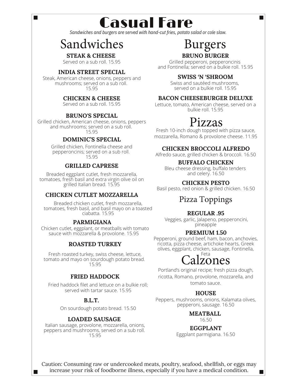Casual Fare

*Sandwiches and burgers are served with hand-cut fries, potato salad or cole slaw.*

## Sandwiches

Ī.

Served on a sub roll. 15.95 **STEAK & CHEESE**

#### **INDIA STREET SPECIAL**

Steak, American cheese, onions, peppers and mushrooms; served on a sub roll. 15.95

#### **CHICKEN & CHEESE**

Served on a sub roll. 15.95

#### **BRUNO'S SPECIAL**

Grilled chicken, American cheese, onions, peppers and mushrooms; served on a sub roll. 15.95

#### **DOMINIC'S SPECIAL**

Grilled chicken, Fontinella cheese and pepperoncinis; served on a sub roll. 15.95

#### **GRILLED CAPRESE**

Breaded eggplant cutlet, fresh mozzarella, tomatoes, fresh basil and extra virgin olive oil on grilled Italian bread. 15.95

#### **CHICKEN CUTLET MOZZARELLA**

Breaded chicken cutlet, fresh mozzarella, tomatoes, fresh basil, and basil mayo on a toasted ciabatta. 15.95

#### **PARMIGIANA**

Chicken cutlet, eggplant, or meatballs with tomato sauce with mozzarella & provolone. 15.95

#### **ROASTED TURKEY**

Fresh roasted turkey, swiss cheese, lettuce, tomato and mayo on sourdough potato bread. 15.95

#### **FRIED HADDOCK**

Fried haddock filet and lettuce on a bulkie roll; served with tartar sauce. 15.95

#### **B.L.T.**

On sourdough potato bread. 15.50

#### **LOADED SAUSAGE**

Italian sausage, provolone, mozzarella, onions, peppers and mushrooms, served on a sub roll. 15.95

## **BRUNO BURGER** Burgers

Grilled pepperoni, pepperoncinis and Fontinella; served on a bulkie roll. 15.95

#### **SWISS 'N 'SHROOM**

Swiss and sautéed mushrooms, served on a bulkie roll. 15.95

#### **BACON CHEESEBURGER DELUXE**

Lettuce, tomato, American cheese, served on a bulkie roll. 15.95

## Pizzas

Fresh 10-inch dough topped with pizza sauce, mozzarella, Romano & provolone cheese. 11.95

#### **CHICKEN BROCCOLI ALFREDO**

Alfredo sauce, grilled chicken & broccoli. 16.50

#### **BUFFALO CHICKEN**

Bleu cheese dressing, buffalo tenders and celery. 16.50

#### **CHICKEN PESTO**

Basil pesto, red onion & grilled chicken. 16.50

## Pizza Toppings

#### **REGULAR .95**

Veggies, garlic, Jalapeno, pepperoncini, pineapple

#### **PREMIUM 1.50**

Pepperoni, ground beef, ham, bacon, anchovies, ricotta, pizza cheese, artichoke hearts, Greek olives, eggplant, chicken, sausage, Fontinella,

## lzones Feta

Portland's original recipe; fresh pizza dough, ricotta, Romano, provolone, mozzarella, and tomato sauce.

#### **HOUSE**

Peppers, mushrooms, onions, Kalamata olives, pepperoni, sausage. 16.50

**MEATBALL**

## 16.50

#### **EGGPLANT**

Eggplant parmigiana. 16.50

n.

Caution: Consuming raw or undercooked meats, poultry, seafood, shellfish, or eggs may increase your risk of foodborne illness, especially if you have a medical condition.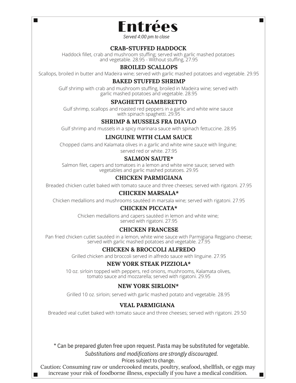

٦

*Served 4:00 pm to close*

## **CRAB-STUFFED HADDOCK**

Haddock fillet, crab and mushroom stuffing; served with garlic mashed potatoes and vegetable. 28.95 - Without stuffing, 27.95

#### **BROILED SCALLOPS**

Scallops, broiled in butter and Madeira wine; served with garlic mashed potatoes and vegetable. 29.95

#### **BAKED STUFFED SHRIMP**

Gulf shrimp with crab and mushroom stuffing, broiled in Madeira wine; served with garlic mashed potatoes and vegetable. 28.95

#### **SPAGHETTI GAMBERETTO**

Gulf shrimp, scallops and roasted red peppers in a garlic and white wine sauce with spinach spaghetti. 29.95

#### **SHRIMP & MUSSELS FRA DIAVLO**

Gulf shrimp and mussels in a spicy marinara sauce with spinach fettuccine. 28.95

#### **LINGUINE WITH CLAM SAUCE**

Chopped clams and Kalamata olives in a garlic and white wine sauce with linguine; served red or white. 27.95

#### **SALMON SAUTE\***

Salmon filet, capers and tomatoes in a lemon and white wine sauce; served with vegetables and garlic mashed potatoes. 29.95

#### **CHICKEN PARMIGIANA**

Breaded chicken cutlet baked with tomato sauce and three cheeses; served with rigatoni. 27.95

#### **CHICKEN MARSALA\***

Chicken medallions and mushrooms sautéed in marsala wine; served with rigatoni. 27.95

#### **CHICKEN PICCATA\***

Chicken medallions and capers sautéed in lemon and white wine; served with rigatoni. 27.95

#### **CHICKEN FRANCESE**

Pan fried chicken cutlet sautéed in a lemon, white wine sauce with Parmigiana Reggiano cheese; served with garlic mashed potatoes and vegetable. 27.95

#### **CHICKEN & BROCCOLI ALFREDO**

Grilled chicken and broccoli served in alfredo sauce with linguine. 27.95

#### **NEW YORK STEAK PIZZIOLA\***

10 oz. sirloin topped with peppers, red onions, mushrooms, Kalamata olives, tomato sauce and mozzarella; served with rigatoni. 29.95

#### **NEW YORK SIRLOIN\***

Grilled 10 oz. sirloin; served with garlic mashed potato and vegetable. 28.95

#### **VEAL PARMIGIANA**

Breaded veal cutlet baked with tomato sauce and three cheeses; served with rigatoni. 29.50

\* Can be prepared gluten free upon request. Pasta may be substituted for vegetable. *Substitutions and modifications are strongly discouraged.*

Prices subject to change.

Caution: Consuming raw or undercooked meats, poultry, seafood, shellfish, or eggs may increase your risk of foodborne illness, especially if you have a medical condition.

 $\Box$